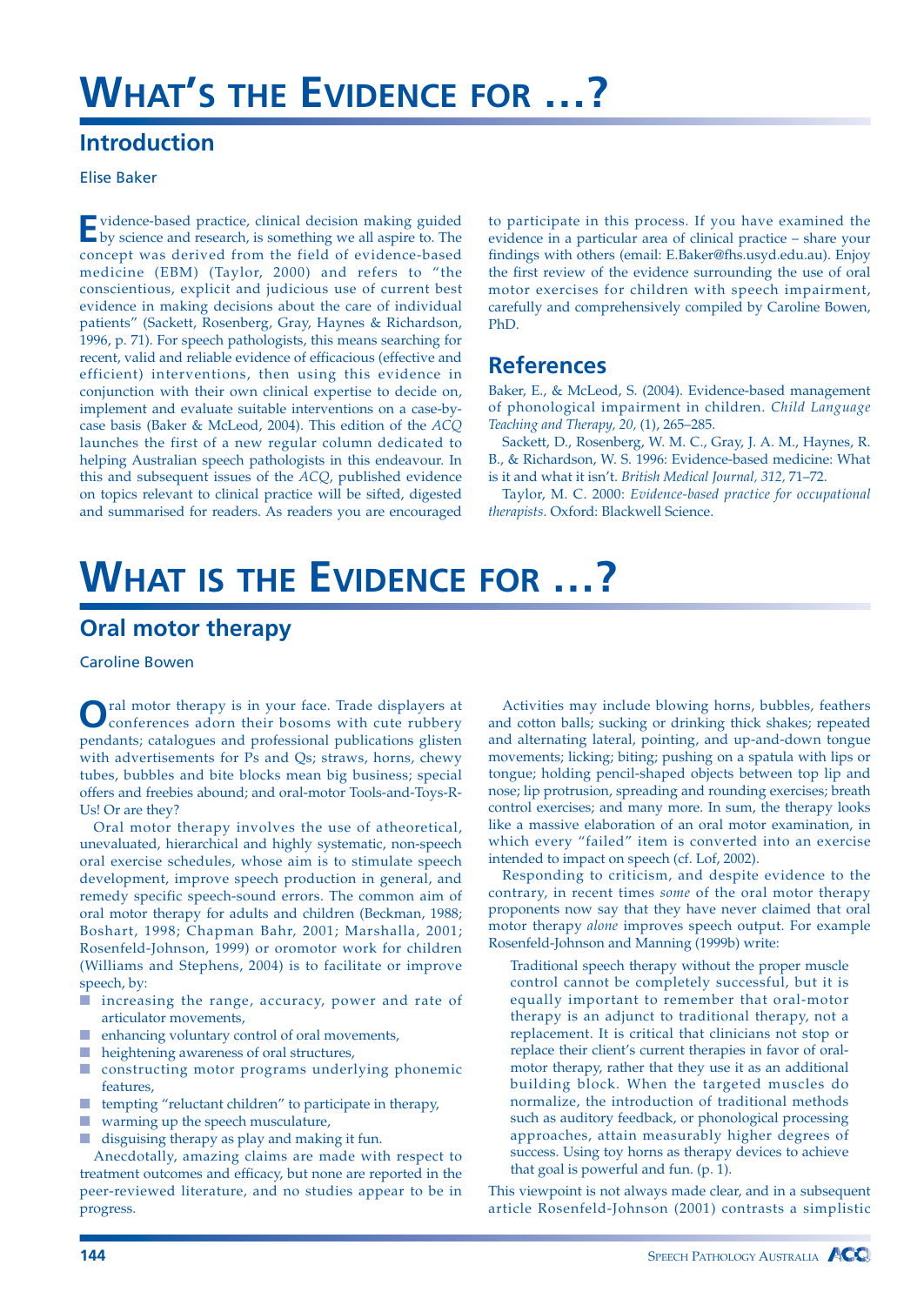# **WHAT'S THE EVIDENCE FOR …?**

### **Introduction**

#### Elise Baker

**E**vidence-based practice, clinical decision making guided by science and research, is something we all aspire to. The concept was derived from the field of evidence-based medicine (EBM) (Taylor, 2000) and refers to "the conscientious, explicit and judicious use of current best evidence in making decisions about the care of individual patients" (Sackett, Rosenberg, Gray, Haynes & Richardson, 1996, p. 71). For speech pathologists, this means searching for recent, valid and reliable evidence of efficacious (effective and efficient) interventions, then using this evidence in conjunction with their own clinical expertise to decide on, implement and evaluate suitable interventions on a case-bycase basis (Baker & McLeod, 2004). This edition of the *ACQ* launches the first of a new regular column dedicated to helping Australian speech pathologists in this endeavour. In this and subsequent issues of the *ACQ*, published evidence on topics relevant to clinical practice will be sifted, digested and summarised for readers. As readers you are encouraged to participate in this process. If you have examined the evidence in a particular area of clinical practice – share your findings with others (email: E.Baker@fhs.usyd.edu.au). Enjoy the first review of the evidence surrounding the use of oral motor exercises for children with speech impairment, carefully and comprehensively compiled by Caroline Bowen, PhD.

### **References**

Baker, E., & McLeod, S. (2004). Evidence-based management of phonological impairment in children. *Child Language Teaching and Therapy, 20,* (1), 265–285.

Sackett, D., Rosenberg, W. M. C., Gray, J. A. M., Haynes, R. B., & Richardson, W. S. 1996: Evidence-based medicine: What is it and what it isn't. *British Medical Journal, 312,* 71–72.

Taylor, M. C. 2000: *Evidence-based practice for occupational therapists*. Oxford: Blackwell Science.

## **WHAT IS THE EVIDENCE FOR …?**

### **Oral motor therapy**

Caroline Bowen

**O**ral motor therapy is in your face. Trade displayers at conferences adorn their bosoms with cute rubbery pendants; catalogues and professional publications glisten with advertisements for Ps and Qs; straws, horns, chewy tubes, bubbles and bite blocks mean big business; special offers and freebies abound; and oral-motor Tools-and-Toys-R-Us! Or are they?

Oral motor therapy involves the use of atheoretical, unevaluated, hierarchical and highly systematic, non-speech oral exercise schedules, whose aim is to stimulate speech development, improve speech production in general, and remedy specific speech-sound errors. The common aim of oral motor therapy for adults and children (Beckman, 1988; Boshart, 1998; Chapman Bahr, 2001; Marshalla, 2001; Rosenfeld-Johnson, 1999) or oromotor work for children (Williams and Stephens, 2004) is to facilitate or improve speech, by:

- increasing the range, accuracy, power and rate of articulator movements,
- enhancing voluntary control of oral movements,
- heightening awareness of oral structures,
- constructing motor programs underlying phonemic features,
- tempting "reluctant children" to participate in therapy,
- warming up the speech musculature,
- disguising therapy as play and making it fun.

Anecdotally, amazing claims are made with respect to treatment outcomes and efficacy, but none are reported in the peer-reviewed literature, and no studies appear to be in progress.

Activities may include blowing horns, bubbles, feathers and cotton balls; sucking or drinking thick shakes; repeated and alternating lateral, pointing, and up-and-down tongue movements; licking; biting; pushing on a spatula with lips or tongue; holding pencil-shaped objects between top lip and nose; lip protrusion, spreading and rounding exercises; breath control exercises; and many more. In sum, the therapy looks like a massive elaboration of an oral motor examination, in which every "failed" item is converted into an exercise intended to impact on speech (cf. Lof, 2002).

Responding to criticism, and despite evidence to the contrary, in recent times *some* of the oral motor therapy proponents now say that they have never claimed that oral motor therapy *alone* improves speech output. For example Rosenfeld-Johnson and Manning (1999b) write:

Traditional speech therapy without the proper muscle control cannot be completely successful, but it is equally important to remember that oral-motor therapy is an adjunct to traditional therapy, not a replacement. It is critical that clinicians not stop or replace their client's current therapies in favor of oralmotor therapy, rather that they use it as an additional building block. When the targeted muscles do normalize, the introduction of traditional methods such as auditory feedback, or phonological processing approaches, attain measurably higher degrees of success. Using toy horns as therapy devices to achieve that goal is powerful and fun. (p. 1).

This viewpoint is not always made clear, and in a subsequent article Rosenfeld-Johnson (2001) contrasts a simplistic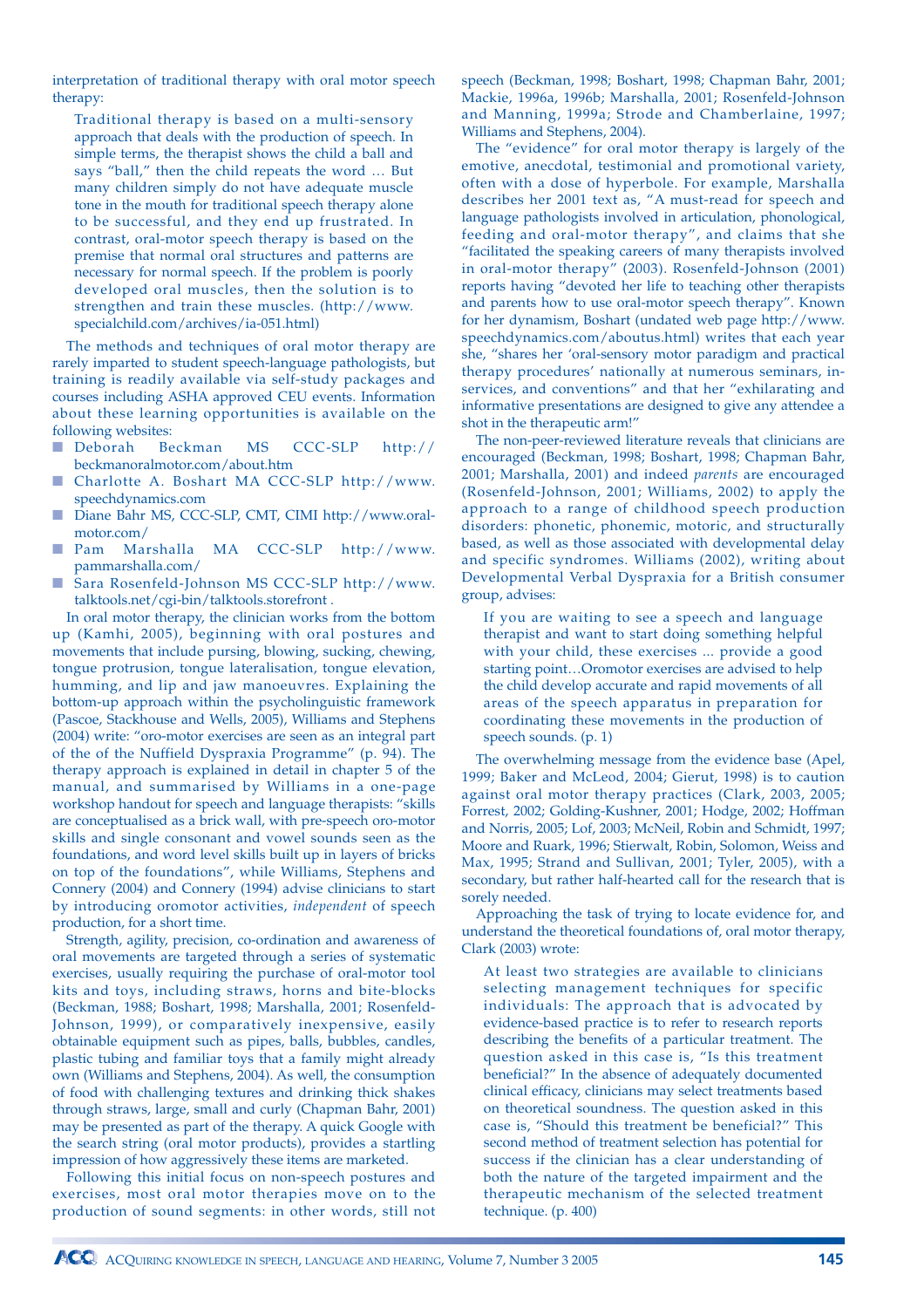interpretation of traditional therapy with oral motor speech therapy:

Traditional therapy is based on a multi-sensory approach that deals with the production of speech. In simple terms, the therapist shows the child a ball and says "ball," then the child repeats the word … But many children simply do not have adequate muscle tone in the mouth for traditional speech therapy alone to be successful, and they end up frustrated. In contrast, oral-motor speech therapy is based on the premise that normal oral structures and patterns are necessary for normal speech. If the problem is poorly developed oral muscles, then the solution is to strengthen and train these muscles. (http://www. specialchild.com/archives/ia-051.html)

The methods and techniques of oral motor therapy are rarely imparted to student speech-language pathologists, but training is readily available via self-study packages and courses including ASHA approved CEU events. Information about these learning opportunities is available on the following websites:

- Deborah Beckman MS CCC-SLP http:// beckmanoralmotor.com/about.htm
- Charlotte A. Boshart MA CCC-SLP http://www. speechdynamics.com
- Diane Bahr MS, CCC-SLP, CMT, CIMI http://www.oralmotor.com/
- Pam Marshalla MA CCC-SLP http://www. pammarshalla.com/
- Sara Rosenfeld-Johnson MS CCC-SLP http://www. talktools.net/cgi-bin/talktools.storefront .

In oral motor therapy, the clinician works from the bottom up (Kamhi, 2005), beginning with oral postures and movements that include pursing, blowing, sucking, chewing, tongue protrusion, tongue lateralisation, tongue elevation, humming, and lip and jaw manoeuvres. Explaining the bottom-up approach within the psycholinguistic framework (Pascoe, Stackhouse and Wells, 2005), Williams and Stephens (2004) write: "oro-motor exercises are seen as an integral part of the of the Nuffield Dyspraxia Programme" (p. 94). The therapy approach is explained in detail in chapter 5 of the manual, and summarised by Williams in a one-page workshop handout for speech and language therapists: "skills are conceptualised as a brick wall, with pre-speech oro-motor skills and single consonant and vowel sounds seen as the foundations, and word level skills built up in layers of bricks on top of the foundations", while Williams, Stephens and Connery (2004) and Connery (1994) advise clinicians to start by introducing oromotor activities, *independent* of speech production, for a short time.

Strength, agility, precision, co-ordination and awareness of oral movements are targeted through a series of systematic exercises, usually requiring the purchase of oral-motor tool kits and toys, including straws, horns and bite-blocks (Beckman, 1988; Boshart, 1998; Marshalla, 2001; Rosenfeld-Johnson, 1999), or comparatively inexpensive, easily obtainable equipment such as pipes, balls, bubbles, candles, plastic tubing and familiar toys that a family might already own (Williams and Stephens, 2004). As well, the consumption of food with challenging textures and drinking thick shakes through straws, large, small and curly (Chapman Bahr, 2001) may be presented as part of the therapy. A quick Google with the search string (oral motor products), provides a startling impression of how aggressively these items are marketed.

Following this initial focus on non-speech postures and exercises, most oral motor therapies move on to the production of sound segments: in other words, still not speech (Beckman, 1998; Boshart, 1998; Chapman Bahr, 2001; Mackie, 1996a, 1996b; Marshalla, 2001; Rosenfeld-Johnson and Manning, 1999a; Strode and Chamberlaine, 1997; Williams and Stephens, 2004).

The "evidence" for oral motor therapy is largely of the emotive, anecdotal, testimonial and promotional variety, often with a dose of hyperbole. For example, Marshalla describes her 2001 text as, "A must-read for speech and language pathologists involved in articulation, phonological, feeding and oral-motor therapy", and claims that she "facilitated the speaking careers of many therapists involved in oral-motor therapy" (2003). Rosenfeld-Johnson (2001) reports having "devoted her life to teaching other therapists and parents how to use oral-motor speech therapy". Known for her dynamism, Boshart (undated web page http://www. speechdynamics.com/aboutus.html) writes that each year she, "shares her 'oral-sensory motor paradigm and practical therapy procedures' nationally at numerous seminars, inservices, and conventions" and that her "exhilarating and informative presentations are designed to give any attendee a shot in the therapeutic arm!"

The non-peer-reviewed literature reveals that clinicians are encouraged (Beckman, 1998; Boshart, 1998; Chapman Bahr, 2001; Marshalla, 2001) and indeed *parents* are encouraged (Rosenfeld-Johnson, 2001; Williams, 2002) to apply the approach to a range of childhood speech production disorders: phonetic, phonemic, motoric, and structurally based, as well as those associated with developmental delay and specific syndromes. Williams (2002), writing about Developmental Verbal Dyspraxia for a British consumer group, advises:

If you are waiting to see a speech and language therapist and want to start doing something helpful with your child, these exercises ... provide a good starting point…Oromotor exercises are advised to help the child develop accurate and rapid movements of all areas of the speech apparatus in preparation for coordinating these movements in the production of speech sounds. (p. 1)

The overwhelming message from the evidence base (Apel, 1999; Baker and McLeod, 2004; Gierut, 1998) is to caution against oral motor therapy practices (Clark, 2003, 2005; Forrest, 2002; Golding-Kushner, 2001; Hodge, 2002; Hoffman and Norris, 2005; Lof, 2003; McNeil, Robin and Schmidt, 1997; Moore and Ruark, 1996; Stierwalt, Robin, Solomon, Weiss and Max, 1995; Strand and Sullivan, 2001; Tyler, 2005), with a secondary, but rather half-hearted call for the research that is sorely needed.

Approaching the task of trying to locate evidence for, and understand the theoretical foundations of, oral motor therapy, Clark (2003) wrote:

At least two strategies are available to clinicians selecting management techniques for specific individuals: The approach that is advocated by evidence-based practice is to refer to research reports describing the benefits of a particular treatment. The question asked in this case is, "Is this treatment beneficial?" In the absence of adequately documented clinical efficacy, clinicians may select treatments based on theoretical soundness. The question asked in this case is, "Should this treatment be beneficial?" This second method of treatment selection has potential for success if the clinician has a clear understanding of both the nature of the targeted impairment and the therapeutic mechanism of the selected treatment technique. (p. 400)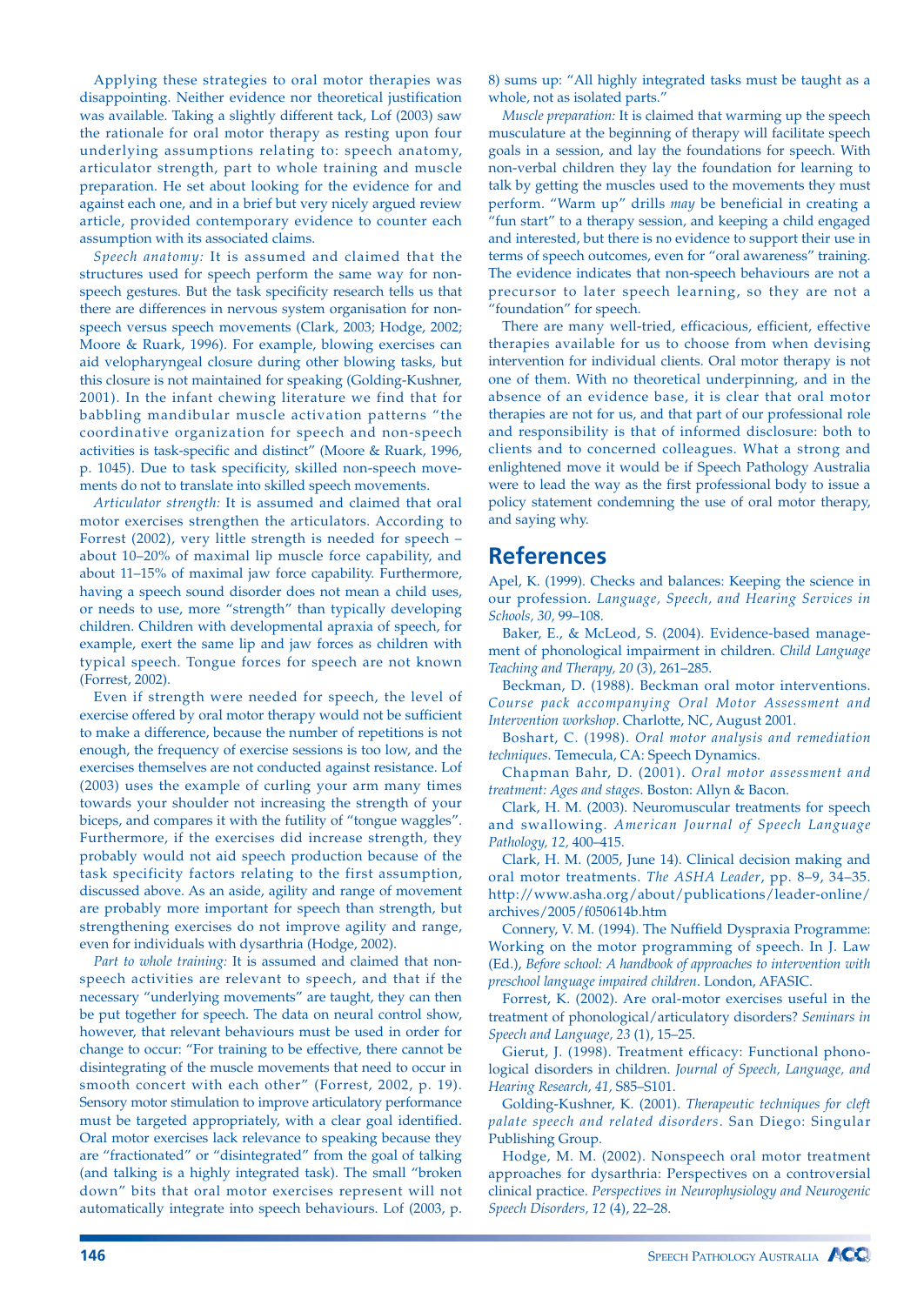Applying these strategies to oral motor therapies was disappointing. Neither evidence nor theoretical justification was available. Taking a slightly different tack, Lof (2003) saw the rationale for oral motor therapy as resting upon four underlying assumptions relating to: speech anatomy, articulator strength, part to whole training and muscle preparation. He set about looking for the evidence for and against each one, and in a brief but very nicely argued review article, provided contemporary evidence to counter each assumption with its associated claims.

*Speech anatomy:* It is assumed and claimed that the structures used for speech perform the same way for nonspeech gestures. But the task specificity research tells us that there are differences in nervous system organisation for nonspeech versus speech movements (Clark, 2003; Hodge, 2002; Moore & Ruark, 1996). For example, blowing exercises can aid velopharyngeal closure during other blowing tasks, but this closure is not maintained for speaking (Golding-Kushner, 2001). In the infant chewing literature we find that for babbling mandibular muscle activation patterns "the coordinative organization for speech and non-speech activities is task-specific and distinct" (Moore & Ruark, 1996, p. 1045). Due to task specificity, skilled non-speech movements do not to translate into skilled speech movements.

*Articulator strength:* It is assumed and claimed that oral motor exercises strengthen the articulators. According to Forrest (2002), very little strength is needed for speech – about 10–20% of maximal lip muscle force capability, and about 11–15% of maximal jaw force capability. Furthermore, having a speech sound disorder does not mean a child uses, or needs to use, more "strength" than typically developing children. Children with developmental apraxia of speech, for example, exert the same lip and jaw forces as children with typical speech. Tongue forces for speech are not known (Forrest, 2002).

Even if strength were needed for speech, the level of exercise offered by oral motor therapy would not be sufficient to make a difference, because the number of repetitions is not enough, the frequency of exercise sessions is too low, and the exercises themselves are not conducted against resistance. Lof (2003) uses the example of curling your arm many times towards your shoulder not increasing the strength of your biceps, and compares it with the futility of "tongue waggles". Furthermore, if the exercises did increase strength, they probably would not aid speech production because of the task specificity factors relating to the first assumption, discussed above. As an aside, agility and range of movement are probably more important for speech than strength, but strengthening exercises do not improve agility and range, even for individuals with dysarthria (Hodge, 2002).

*Part to whole training:* It is assumed and claimed that nonspeech activities are relevant to speech, and that if the necessary "underlying movements" are taught, they can then be put together for speech. The data on neural control show, however, that relevant behaviours must be used in order for change to occur: "For training to be effective, there cannot be disintegrating of the muscle movements that need to occur in smooth concert with each other" (Forrest, 2002, p. 19). Sensory motor stimulation to improve articulatory performance must be targeted appropriately, with a clear goal identified. Oral motor exercises lack relevance to speaking because they are "fractionated" or "disintegrated" from the goal of talking (and talking is a highly integrated task). The small "broken down" bits that oral motor exercises represent will not automatically integrate into speech behaviours. Lof (2003, p.

8) sums up: "All highly integrated tasks must be taught as a whole, not as isolated parts."

*Muscle preparation:* It is claimed that warming up the speech musculature at the beginning of therapy will facilitate speech goals in a session, and lay the foundations for speech. With non-verbal children they lay the foundation for learning to talk by getting the muscles used to the movements they must perform. "Warm up" drills *may* be beneficial in creating a "fun start" to a therapy session, and keeping a child engaged and interested, but there is no evidence to support their use in terms of speech outcomes, even for "oral awareness" training. The evidence indicates that non-speech behaviours are not a precursor to later speech learning, so they are not a "foundation" for speech.

There are many well-tried, efficacious, efficient, effective therapies available for us to choose from when devising intervention for individual clients. Oral motor therapy is not one of them. With no theoretical underpinning, and in the absence of an evidence base, it is clear that oral motor therapies are not for us, and that part of our professional role and responsibility is that of informed disclosure: both to clients and to concerned colleagues. What a strong and enlightened move it would be if Speech Pathology Australia were to lead the way as the first professional body to issue a policy statement condemning the use of oral motor therapy, and saying why.

### **References**

Apel, K. (1999). Checks and balances: Keeping the science in our profession. *Language, Speech, and Hearing Services in Schools, 30,* 99–108.

Baker, E., & McLeod, S. (2004). Evidence-based management of phonological impairment in children. *Child Language Teaching and Therapy, 20* (3), 261–285.

Beckman, D. (1988). Beckman oral motor interventions. *Course pack accompanying Oral Motor Assessment and Intervention workshop*. Charlotte, NC, August 2001.

Boshart, C. (1998). *Oral motor analysis and remediation techniques*. Temecula, CA: Speech Dynamics.

Chapman Bahr, D. (2001). *Oral motor assessment and treatment: Ages and stages*. Boston: Allyn & Bacon.

Clark, H. M. (2003). Neuromuscular treatments for speech and swallowing. *American Journal of Speech Language Pathology, 12,* 400–415.

Clark, H. M. (2005, June 14). Clinical decision making and oral motor treatments. *The ASHA Leader*, pp. 8–9, 34–35. http://www.asha.org/about/publications/leader-online/ archives/2005/f050614b.htm

Connery, V. M. (1994). The Nuffield Dyspraxia Programme: Working on the motor programming of speech. In J. Law (Ed.), *Before school: A handbook of approaches to intervention with preschool language impaired children*. London, AFASIC.

Forrest, K. (2002). Are oral-motor exercises useful in the treatment of phonological/articulatory disorders? *Seminars in Speech and Language, 23* (1), 15–25.

Gierut, J. (1998). Treatment efficacy: Functional phonological disorders in children. *Journal of Speech, Language, and Hearing Research, 41,* S85–S101.

Golding-Kushner, K. (2001). *Therapeutic techniques for cleft palate speech and related disorders*. San Diego: Singular Publishing Group.

Hodge, M. M. (2002). Nonspeech oral motor treatment approaches for dysarthria: Perspectives on a controversial clinical practice. *Perspectives in Neurophysiology and Neurogenic Speech Disorders, 12* (4), 22–28.